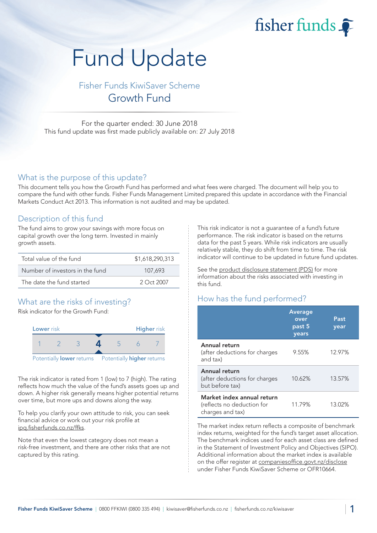fisher funds  $\widehat{\bullet}$ 

# Fund Update

Fisher Funds KiwiSaver Scheme Growth Fund

For the quarter ended: 30 June 2018 This fund update was first made publicly available on: 27 July 2018

### What is the purpose of this update?

This document tells you how the Growth Fund has performed and what fees were charged. The document will help you to compare the fund with other funds. Fisher Funds Management Limited prepared this update in accordance with the Financial Markets Conduct Act 2013. This information is not audited and may be updated.

## Description of this fund

The fund aims to grow your savings with more focus on capital growth over the long term. Invested in mainly growth assets.

| Total value of the fund         | \$1,618,290,313 |
|---------------------------------|-----------------|
| Number of investors in the fund | 107.693         |
| The date the fund started       | 2 Oct 2007      |

# What are the risks of investing?

Risk indicator for the Growth Fund:



The risk indicator is rated from 1 (low) to 7 (high). The rating reflects how much the value of the fund's assets goes up and down. A higher risk generally means higher potential returns over time, but more ups and downs along the way.

To help you clarify your own attitude to risk, you can seek financial advice or work out your risk profile at [ipq.fisherfunds.co.nz/ffks.](https://ipq.fisherfunds.co.nz/ffks)

Note that even the lowest category does not mean a risk-free investment, and there are other risks that are not captured by this rating.

This risk indicator is not a guarantee of a fund's future performance. The risk indicator is based on the returns data for the past 5 years. While risk indicators are usually relatively stable, they do shift from time to time. The risk indicator will continue to be updated in future fund updates.

See the [product disclosure statement \(PDS\)](https://fisherfunds.co.nz/assets/PDS/Fisher-Funds-KiwiSaver-Scheme-PDS.pdf) for more information about the risks associated with investing in this fund.

# How has the fund performed?

|                                                                              | <b>Average</b><br>over<br>past 5<br>years | Past<br>year |
|------------------------------------------------------------------------------|-------------------------------------------|--------------|
| Annual return<br>(after deductions for charges<br>and tax)                   | 9.55%                                     | 12.97%       |
| Annual return<br>(after deductions for charges<br>but before tax)            | 10.62%                                    | 13.57%       |
| Market index annual return<br>(reflects no deduction for<br>charges and tax) | 11.79%                                    | 13.02%       |

The market index return reflects a composite of benchmark index returns, weighted for the fund's target asset allocation. The benchmark indices used for each asset class are defined in the Statement of Investment Policy and Objectives (SIPO). Additional information about the market index is available on the offer register at [companiesoffice.govt.nz/disclose](http://companiesoffice.govt.nz/disclose) under Fisher Funds KiwiSaver Scheme or OFR10664.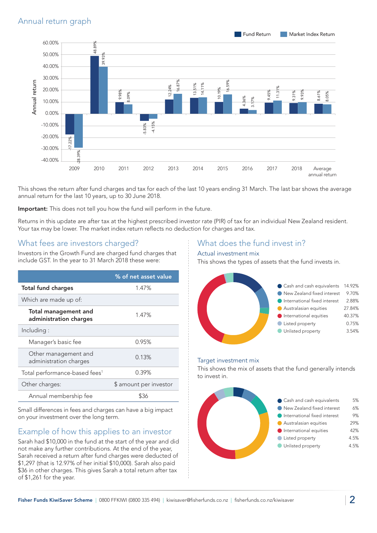

This shows the return after fund charges and tax for each of the last 10 years ending 31 March. The last bar shows the average annual return for the last 10 years, up to 30 June 2018.

Important: This does not tell you how the fund will perform in the future.

Returns in this update are after tax at the highest prescribed investor rate (PIR) of tax for an individual New Zealand resident. Your tax may be lower. The market index return reflects no deduction for charges and tax.

# What fees are investors charged?

Investors in the Growth Fund are charged fund charges that include GST. In the year to 31 March 2018 these were:

|                                                | % of net asset value   |
|------------------------------------------------|------------------------|
| <b>Total fund charges</b>                      | 1.47%                  |
| Which are made up of:                          |                        |
| Total management and<br>administration charges | 1.47%                  |
| Including:                                     |                        |
| Manager's basic fee                            | 0.95%                  |
| Other management and<br>administration charges | 0.13%                  |
| Total performance-based fees <sup>1</sup>      | 0.39%                  |
| Other charges:                                 | \$ amount per investor |
| Annual membership fee                          |                        |

Small differences in fees and charges can have a big impact on your investment over the long term.

# Example of how this applies to an investor

Sarah had \$10,000 in the fund at the start of the year and did not make any further contributions. At the end of the year, Sarah received a return after fund charges were deducted of \$1,297 (that is 12.97% of her initial \$10,000). Sarah also paid \$36 in other charges. This gives Sarah a total return after tax of \$1,261 for the year.

## What does the fund invest in?

#### Actual investment mix

This shows the types of assets that the fund invests in.



#### Target investment mix

This shows the mix of assets that the fund generally intends to invest in.